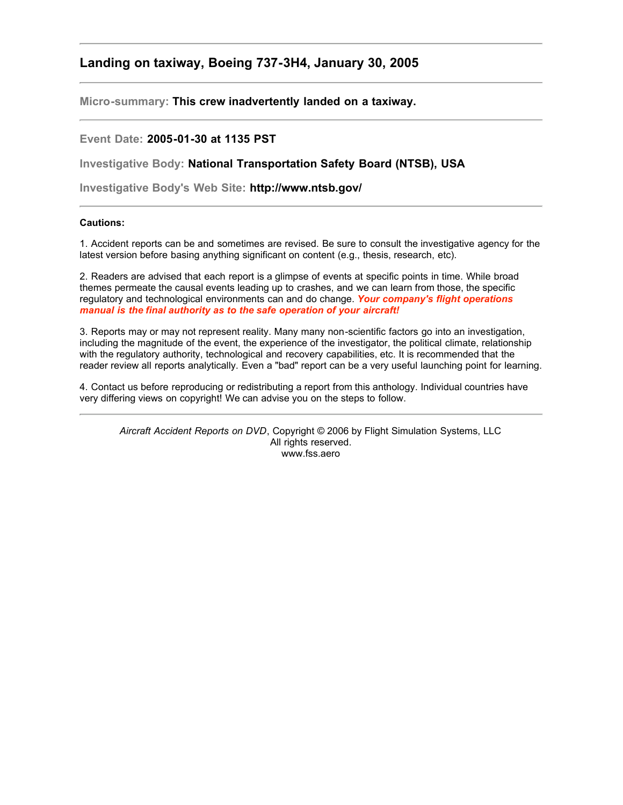## **Landing on taxiway, Boeing 737-3H4, January 30, 2005**

**Micro-summary: This crew inadvertently landed on a taxiway.**

## **Event Date: 2005-01-30 at 1135 PST**

**Investigative Body: National Transportation Safety Board (NTSB), USA**

**Investigative Body's Web Site: http://www.ntsb.gov/**

## **Cautions:**

1. Accident reports can be and sometimes are revised. Be sure to consult the investigative agency for the latest version before basing anything significant on content (e.g., thesis, research, etc).

2. Readers are advised that each report is a glimpse of events at specific points in time. While broad themes permeate the causal events leading up to crashes, and we can learn from those, the specific regulatory and technological environments can and do change. *Your company's flight operations manual is the final authority as to the safe operation of your aircraft!*

3. Reports may or may not represent reality. Many many non-scientific factors go into an investigation, including the magnitude of the event, the experience of the investigator, the political climate, relationship with the regulatory authority, technological and recovery capabilities, etc. It is recommended that the reader review all reports analytically. Even a "bad" report can be a very useful launching point for learning.

4. Contact us before reproducing or redistributing a report from this anthology. Individual countries have very differing views on copyright! We can advise you on the steps to follow.

*Aircraft Accident Reports on DVD*, Copyright © 2006 by Flight Simulation Systems, LLC All rights reserved. www.fss.aero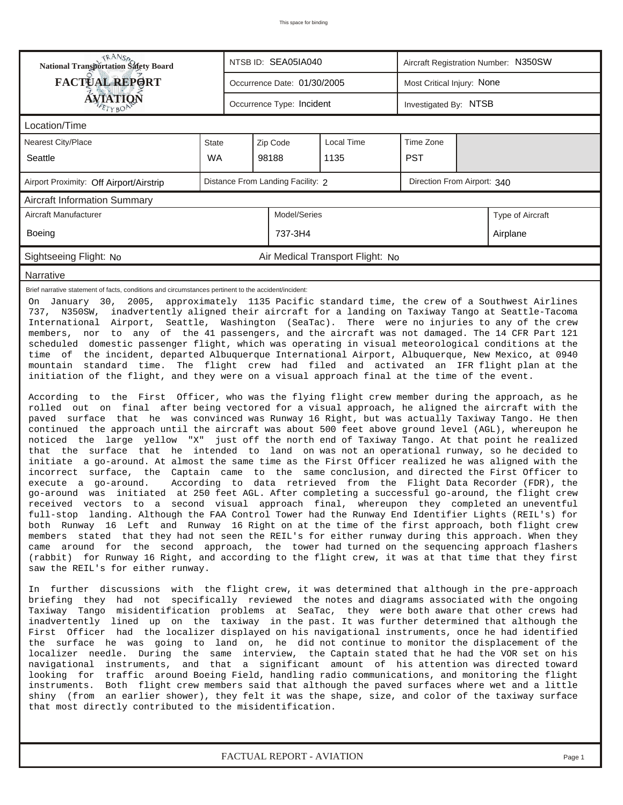| TRANSA<br>NTSB ID: SEA05IA040<br>Aircraft Registration Number: N350SW<br>National Transportation Safety Board                                                                                                                                                                                                                                                                                                                                                                                                                                                                                                                                                                                                                                                                                                                                                                                                                                                                                                                                                                                                                                                                                                                                                                                                                                                                                                                                                                                                                                                                                                                                                                                                                                                                                                                                                                                                                                                                                                                                                                                                                                                                                                                                                                                                                                                                                                  |           |                             |                           |                                  |                       |  |          |  |  |
|----------------------------------------------------------------------------------------------------------------------------------------------------------------------------------------------------------------------------------------------------------------------------------------------------------------------------------------------------------------------------------------------------------------------------------------------------------------------------------------------------------------------------------------------------------------------------------------------------------------------------------------------------------------------------------------------------------------------------------------------------------------------------------------------------------------------------------------------------------------------------------------------------------------------------------------------------------------------------------------------------------------------------------------------------------------------------------------------------------------------------------------------------------------------------------------------------------------------------------------------------------------------------------------------------------------------------------------------------------------------------------------------------------------------------------------------------------------------------------------------------------------------------------------------------------------------------------------------------------------------------------------------------------------------------------------------------------------------------------------------------------------------------------------------------------------------------------------------------------------------------------------------------------------------------------------------------------------------------------------------------------------------------------------------------------------------------------------------------------------------------------------------------------------------------------------------------------------------------------------------------------------------------------------------------------------------------------------------------------------------------------------------------------------|-----------|-----------------------------|---------------------------|----------------------------------|-----------------------|--|----------|--|--|
| <b>FACTUAL REPORT</b>                                                                                                                                                                                                                                                                                                                                                                                                                                                                                                                                                                                                                                                                                                                                                                                                                                                                                                                                                                                                                                                                                                                                                                                                                                                                                                                                                                                                                                                                                                                                                                                                                                                                                                                                                                                                                                                                                                                                                                                                                                                                                                                                                                                                                                                                                                                                                                                          |           | Occurrence Date: 01/30/2005 |                           | Most Critical Injury: None       |                       |  |          |  |  |
| <b>ÁVJATIQN</b>                                                                                                                                                                                                                                                                                                                                                                                                                                                                                                                                                                                                                                                                                                                                                                                                                                                                                                                                                                                                                                                                                                                                                                                                                                                                                                                                                                                                                                                                                                                                                                                                                                                                                                                                                                                                                                                                                                                                                                                                                                                                                                                                                                                                                                                                                                                                                                                                |           |                             | Occurrence Type: Incident |                                  | Investigated By: NTSB |  |          |  |  |
| Location/Time                                                                                                                                                                                                                                                                                                                                                                                                                                                                                                                                                                                                                                                                                                                                                                                                                                                                                                                                                                                                                                                                                                                                                                                                                                                                                                                                                                                                                                                                                                                                                                                                                                                                                                                                                                                                                                                                                                                                                                                                                                                                                                                                                                                                                                                                                                                                                                                                  |           |                             |                           |                                  |                       |  |          |  |  |
| Nearest City/Place                                                                                                                                                                                                                                                                                                                                                                                                                                                                                                                                                                                                                                                                                                                                                                                                                                                                                                                                                                                                                                                                                                                                                                                                                                                                                                                                                                                                                                                                                                                                                                                                                                                                                                                                                                                                                                                                                                                                                                                                                                                                                                                                                                                                                                                                                                                                                                                             | State     |                             | Zip Code                  | Local Time                       | Time Zone             |  |          |  |  |
| Seattle                                                                                                                                                                                                                                                                                                                                                                                                                                                                                                                                                                                                                                                                                                                                                                                                                                                                                                                                                                                                                                                                                                                                                                                                                                                                                                                                                                                                                                                                                                                                                                                                                                                                                                                                                                                                                                                                                                                                                                                                                                                                                                                                                                                                                                                                                                                                                                                                        | <b>WA</b> |                             | 98188<br>1135             |                                  | <b>PST</b>            |  |          |  |  |
| Distance From Landing Facility: 2<br>Direction From Airport: 340<br>Airport Proximity: Off Airport/Airstrip                                                                                                                                                                                                                                                                                                                                                                                                                                                                                                                                                                                                                                                                                                                                                                                                                                                                                                                                                                                                                                                                                                                                                                                                                                                                                                                                                                                                                                                                                                                                                                                                                                                                                                                                                                                                                                                                                                                                                                                                                                                                                                                                                                                                                                                                                                    |           |                             |                           |                                  |                       |  |          |  |  |
| <b>Aircraft Information Summary</b>                                                                                                                                                                                                                                                                                                                                                                                                                                                                                                                                                                                                                                                                                                                                                                                                                                                                                                                                                                                                                                                                                                                                                                                                                                                                                                                                                                                                                                                                                                                                                                                                                                                                                                                                                                                                                                                                                                                                                                                                                                                                                                                                                                                                                                                                                                                                                                            |           |                             |                           |                                  |                       |  |          |  |  |
| Aircraft Manufacturer                                                                                                                                                                                                                                                                                                                                                                                                                                                                                                                                                                                                                                                                                                                                                                                                                                                                                                                                                                                                                                                                                                                                                                                                                                                                                                                                                                                                                                                                                                                                                                                                                                                                                                                                                                                                                                                                                                                                                                                                                                                                                                                                                                                                                                                                                                                                                                                          |           |                             | Model/Series              |                                  | Type of Aircraft      |  |          |  |  |
| <b>Boeing</b>                                                                                                                                                                                                                                                                                                                                                                                                                                                                                                                                                                                                                                                                                                                                                                                                                                                                                                                                                                                                                                                                                                                                                                                                                                                                                                                                                                                                                                                                                                                                                                                                                                                                                                                                                                                                                                                                                                                                                                                                                                                                                                                                                                                                                                                                                                                                                                                                  |           |                             | 737-3H4                   |                                  |                       |  | Airplane |  |  |
| Sightseeing Flight: No                                                                                                                                                                                                                                                                                                                                                                                                                                                                                                                                                                                                                                                                                                                                                                                                                                                                                                                                                                                                                                                                                                                                                                                                                                                                                                                                                                                                                                                                                                                                                                                                                                                                                                                                                                                                                                                                                                                                                                                                                                                                                                                                                                                                                                                                                                                                                                                         |           |                             |                           | Air Medical Transport Flight: No |                       |  |          |  |  |
| Narrative                                                                                                                                                                                                                                                                                                                                                                                                                                                                                                                                                                                                                                                                                                                                                                                                                                                                                                                                                                                                                                                                                                                                                                                                                                                                                                                                                                                                                                                                                                                                                                                                                                                                                                                                                                                                                                                                                                                                                                                                                                                                                                                                                                                                                                                                                                                                                                                                      |           |                             |                           |                                  |                       |  |          |  |  |
| 737, N350SW, inadvertently aligned their aircraft for a landing on Taxiway Tango at Seattle-Tacoma<br>International Airport, Seattle, Washington (SeaTac). There were no injuries to any of the crew<br>members, nor to any of the 41 passengers, and the aircraft was not damaged. The 14 CFR Part 121<br>scheduled domestic passenger flight, which was operating in visual meteorological conditions at the<br>time of the incident, departed Albuquerque International Airport, Albuquerque, New Mexico, at 0940<br>mountain standard time. The flight crew had filed and activated an IFR flight plan at the<br>initiation of the flight, and they were on a visual approach final at the time of the event.<br>According to the First Officer, who was the flying flight crew member during the approach, as he<br>rolled out on final after being vectored for a visual approach, he aligned the aircraft with the<br>paved surface that he was convinced was Runway 16 Right, but was actually Taxiway Tango. He then<br>continued the approach until the aircraft was about 500 feet above ground level (AGL), whereupon he<br>noticed the large yellow "X" just off the north end of Taxiway Tango. At that point he realized<br>that the surface that he intended to land on was not an operational runway, so he decided to<br>initiate a go-around. At almost the same time as the First Officer realized he was aligned with the<br>incorrect surface, the Captain came to the same conclusion, and directed the First Officer to<br>execute a go-around.<br>According to data retrieved from the Flight Data Recorder (FDR), the<br>go-around was initiated at 250 feet AGL. After completing a successful go-around, the flight crew<br>received vectors to a second visual approach final, whereupon they completed an uneventful<br>full-stop landing. Although the FAA Control Tower had the Runway End Identifier Lights (REIL's) for<br>both Runway 16 Left and Runway 16 Right on at the time of the first approach, both flight crew<br>members stated that they had not seen the REIL's for either runway during this approach. When they<br>came around for the second approach, the tower had turned on the sequencing approach flashers<br>(rabbit) for Runway 16 Right, and according to the flight crew, it was at that time that they first<br>saw the REIL's for either runway. |           |                             |                           |                                  |                       |  |          |  |  |
| In further discussions with the flight crew, it was determined that although in the pre-approach<br>briefing they had not specifically reviewed the notes and diagrams associated with the ongoing<br>Taxiway Tango misidentification problems at SeaTac, they were both aware that other crews had<br>inadvertently lined up on the taxiway in the past. It was further determined that although the<br>First Officer had the localizer displayed on his navigational instruments, once he had identified<br>the surface he was going to land on, he did not continue to monitor the displacement of the<br>localizer needle. During the same interview, the Captain stated that he had the VOR set on his<br>navigational instruments, and that a significant amount of his attention was directed toward<br>looking for traffic around Boeing Field, handling radio communications, and monitoring the flight<br>instruments. Both flight crew members said that although the paved surfaces where wet and a little<br>shiny (from an earlier shower), they felt it was the shape, size, and color of the taxiway surface<br>that most directly contributed to the misidentification.                                                                                                                                                                                                                                                                                                                                                                                                                                                                                                                                                                                                                                                                                                                                                                                                                                                                                                                                                                                                                                                                                                                                                                                                                       |           |                             |                           |                                  |                       |  |          |  |  |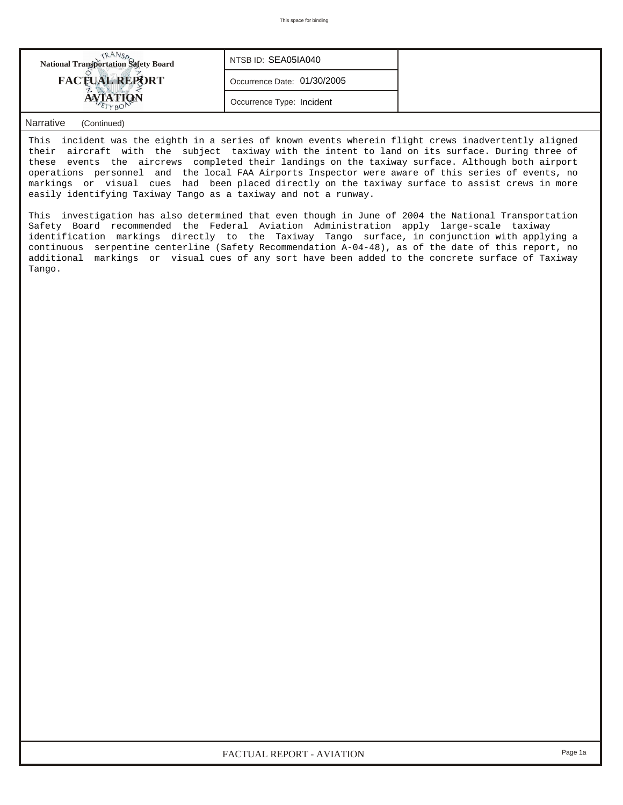| <b>National Transportation Safety Board</b> | NTSB ID: SEA05IA040         |  |
|---------------------------------------------|-----------------------------|--|
| <b>FACTUAL REPORT</b>                       | Occurrence Date: 01/30/2005 |  |
|                                             | Occurrence Type: Incident   |  |

## *Narrative (Continued)*

This incident was the eighth in a series of known events wherein flight crews inadvertently aligned their aircraft with the subject taxiway with the intent to land on its surface. During three of these events the aircrews completed their landings on the taxiway surface. Although both airport operations personnel and the local FAA Airports Inspector were aware of this series of events, no markings or visual cues had been placed directly on the taxiway surface to assist crews in more easily identifying Taxiway Tango as a taxiway and not a runway.

This investigation has also determined that even though in June of 2004 the National Transportation Safety Board recommended the Federal Aviation Administration apply large-scale taxiway identification markings directly to the Taxiway Tango surface, in conjunction with applying a continuous serpentine centerline (Safety Recommendation A-04-48), as of the date of this report, no additional markings or visual cues of any sort have been added to the concrete surface of Taxiway Tango.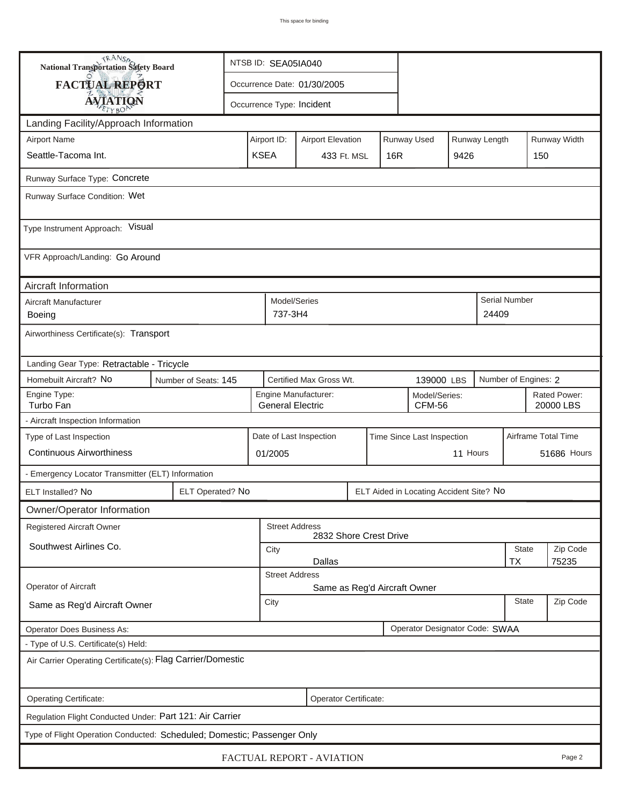| <b>National Transportation Safety Board</b>                               |                                                             | NTSB ID: SEA05IA040                                                               |                                                                                         |                         |  |                 |                            |          |             |                           |                     |  |
|---------------------------------------------------------------------------|-------------------------------------------------------------|-----------------------------------------------------------------------------------|-----------------------------------------------------------------------------------------|-------------------------|--|-----------------|----------------------------|----------|-------------|---------------------------|---------------------|--|
| <b>FACTUAL REPORT</b>                                                     | Occurrence Date: 01/30/2005                                 |                                                                                   |                                                                                         |                         |  |                 |                            |          |             |                           |                     |  |
|                                                                           | <b>AVIATION</b><br>Occurrence Type: Incident                |                                                                                   |                                                                                         |                         |  |                 |                            |          |             |                           |                     |  |
| Landing Facility/Approach Information                                     |                                                             |                                                                                   |                                                                                         |                         |  |                 |                            |          |             |                           |                     |  |
| <b>Airport Name</b>                                                       |                                                             |                                                                                   | Runway Width<br>Runway Used<br>Runway Length<br>Airport ID:<br><b>Airport Elevation</b> |                         |  |                 |                            |          |             |                           |                     |  |
| Seattle-Tacoma Int.                                                       | <b>KSEA</b>                                                 |                                                                                   |                                                                                         |                         |  | 16 <sub>R</sub> |                            | 9426     |             | 150                       |                     |  |
| Runway Surface Type: Concrete                                             |                                                             |                                                                                   |                                                                                         |                         |  |                 |                            |          |             |                           |                     |  |
| Runway Surface Condition: Wet                                             |                                                             |                                                                                   |                                                                                         |                         |  |                 |                            |          |             |                           |                     |  |
|                                                                           |                                                             |                                                                                   |                                                                                         |                         |  |                 |                            |          |             |                           |                     |  |
| Type Instrument Approach: Visual                                          |                                                             |                                                                                   |                                                                                         |                         |  |                 |                            |          |             |                           |                     |  |
| VFR Approach/Landing: Go Around                                           |                                                             |                                                                                   |                                                                                         |                         |  |                 |                            |          |             |                           |                     |  |
| Aircraft Information                                                      |                                                             |                                                                                   |                                                                                         |                         |  |                 |                            |          |             |                           |                     |  |
| Aircraft Manufacturer<br><b>Boeing</b>                                    |                                                             | Model/Series<br>737-3H4                                                           |                                                                                         |                         |  |                 |                            |          | 24409       | <b>Serial Number</b>      |                     |  |
| Airworthiness Certificate(s): Transport                                   |                                                             |                                                                                   |                                                                                         |                         |  |                 |                            |          |             |                           |                     |  |
| Landing Gear Type: Retractable - Tricycle                                 |                                                             |                                                                                   |                                                                                         |                         |  |                 |                            |          |             |                           |                     |  |
| Homebuilt Aircraft? No<br>Certified Max Gross Wt.<br>Number of Seats: 145 |                                                             |                                                                                   |                                                                                         |                         |  |                 | 139000 LBS                 |          |             | Number of Engines: 2      |                     |  |
| Engine Type:<br>Turbo Fan                                                 |                                                             | Engine Manufacturer:<br>Model/Series:<br><b>General Electric</b><br><b>CFM-56</b> |                                                                                         |                         |  |                 |                            |          |             | Rated Power:<br>20000 LBS |                     |  |
| - Aircraft Inspection Information                                         |                                                             |                                                                                   |                                                                                         |                         |  |                 |                            |          |             |                           |                     |  |
| Type of Last Inspection                                                   |                                                             |                                                                                   |                                                                                         | Date of Last Inspection |  |                 | Time Since Last Inspection |          |             |                           | Airframe Total Time |  |
| <b>Continuous Airworthiness</b>                                           |                                                             |                                                                                   | 11 Hours<br>01/2005                                                                     |                         |  |                 |                            |          | 51686 Hours |                           |                     |  |
| - Emergency Locator Transmitter (ELT) Information                         |                                                             |                                                                                   |                                                                                         |                         |  |                 |                            |          |             |                           |                     |  |
| ELT Installed? No                                                         | ELT Operated? No<br>ELT Aided in Locating Accident Site? No |                                                                                   |                                                                                         |                         |  |                 |                            |          |             |                           |                     |  |
| Owner/Operator Information                                                |                                                             |                                                                                   |                                                                                         |                         |  |                 |                            |          |             |                           |                     |  |
| <b>Registered Aircraft Owner</b>                                          | <b>Street Address</b><br>2832 Shore Crest Drive             |                                                                                   |                                                                                         |                         |  |                 |                            |          |             |                           |                     |  |
| Southwest Airlines Co.                                                    |                                                             | State<br>City                                                                     |                                                                                         |                         |  |                 |                            |          | Zip Code    |                           |                     |  |
|                                                                           | <b>Dallas</b><br>75235<br>ТX<br><b>Street Address</b>       |                                                                                   |                                                                                         |                         |  |                 |                            |          |             |                           |                     |  |
| Operator of Aircraft                                                      | Same as Reg'd Aircraft Owner                                |                                                                                   |                                                                                         |                         |  |                 |                            |          |             |                           |                     |  |
| Same as Reg'd Aircraft Owner                                              | <b>State</b><br>City                                        |                                                                                   |                                                                                         |                         |  |                 |                            | Zip Code |             |                           |                     |  |
| Operator Designator Code: SWAA<br><b>Operator Does Business As:</b>       |                                                             |                                                                                   |                                                                                         |                         |  |                 |                            |          |             |                           |                     |  |
| - Type of U.S. Certificate(s) Held:                                       |                                                             |                                                                                   |                                                                                         |                         |  |                 |                            |          |             |                           |                     |  |
| Air Carrier Operating Certificate(s): Flag Carrier/Domestic               |                                                             |                                                                                   |                                                                                         |                         |  |                 |                            |          |             |                           |                     |  |
| Operating Certificate:                                                    |                                                             |                                                                                   |                                                                                         | Operator Certificate:   |  |                 |                            |          |             |                           |                     |  |
| Regulation Flight Conducted Under: Part 121: Air Carrier                  |                                                             |                                                                                   |                                                                                         |                         |  |                 |                            |          |             |                           |                     |  |
| Type of Flight Operation Conducted: Scheduled; Domestic; Passenger Only   |                                                             |                                                                                   |                                                                                         |                         |  |                 |                            |          |             |                           |                     |  |
| FACTUAL REPORT - AVIATION<br>Page 2                                       |                                                             |                                                                                   |                                                                                         |                         |  |                 |                            |          |             |                           |                     |  |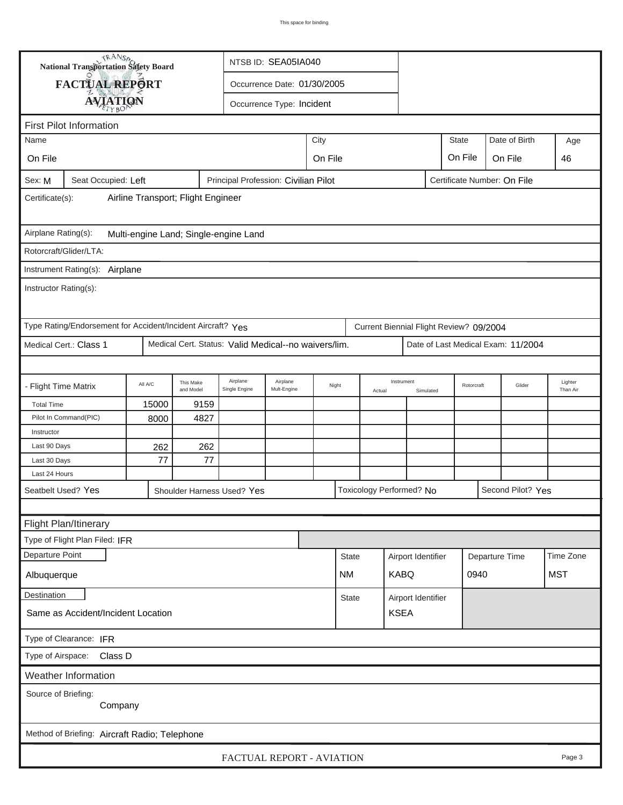| <b>National Transportation Safety Board</b><br>NTSB ID: SEA05IA040                                     |                                                                                                    |           |             |  |      |                        |        |                    |                    |              |            |                                    |                     |
|--------------------------------------------------------------------------------------------------------|----------------------------------------------------------------------------------------------------|-----------|-------------|--|------|------------------------|--------|--------------------|--------------------|--------------|------------|------------------------------------|---------------------|
| FACTUAL REPORT<br>Occurrence Date: 01/30/2005                                                          |                                                                                                    |           |             |  |      |                        |        |                    |                    |              |            |                                    |                     |
| <b>AVIATION</b><br>Occurrence Type: Incident                                                           |                                                                                                    |           |             |  |      |                        |        |                    |                    |              |            |                                    |                     |
|                                                                                                        |                                                                                                    |           |             |  |      |                        |        |                    |                    |              |            |                                    |                     |
| <b>First Pilot Information</b><br>Date of Birth                                                        |                                                                                                    |           |             |  |      |                        |        |                    |                    |              |            |                                    |                     |
| Name                                                                                                   |                                                                                                    |           |             |  | City |                        |        |                    |                    | <b>State</b> |            |                                    | Age                 |
| On File<br>On File<br>On File<br>On File                                                               |                                                                                                    |           |             |  |      |                        |        |                    |                    |              | 46         |                                    |                     |
| Principal Profession: Civilian Pilot<br>Sex: M<br>Seat Occupied: Left<br>Certificate Number: On File   |                                                                                                    |           |             |  |      |                        |        |                    |                    |              |            |                                    |                     |
| Airline Transport; Flight Engineer<br>Certificate(s):                                                  |                                                                                                    |           |             |  |      |                        |        |                    |                    |              |            |                                    |                     |
| Airplane Rating(s):<br>Multi-engine Land; Single-engine Land                                           |                                                                                                    |           |             |  |      |                        |        |                    |                    |              |            |                                    |                     |
| Rotorcraft/Glider/LTA:                                                                                 |                                                                                                    |           |             |  |      |                        |        |                    |                    |              |            |                                    |                     |
| Instrument Rating(s):                                                                                  | Airplane                                                                                           |           |             |  |      |                        |        |                    |                    |              |            |                                    |                     |
| Instructor Rating(s):                                                                                  |                                                                                                    |           |             |  |      |                        |        |                    |                    |              |            |                                    |                     |
| Type Rating/Endorsement for Accident/Incident Aircraft? Yes<br>Current Biennial Flight Review? 09/2004 |                                                                                                    |           |             |  |      |                        |        |                    |                    |              |            |                                    |                     |
| Medical Cert. Status: Valid Medical--no waivers/lim.<br>Medical Cert.: Class 1                         |                                                                                                    |           |             |  |      |                        |        |                    |                    |              |            | Date of Last Medical Exam: 11/2004 |                     |
|                                                                                                        |                                                                                                    |           |             |  |      |                        |        |                    |                    |              |            |                                    |                     |
| - Flight Time Matrix                                                                                   | Airplane<br>Airplane<br>This Make<br>All A/C<br>Night<br>Single Engine<br>Mult-Engine<br>and Model |           |             |  |      |                        | Actual | Instrument         | Simulated          |              | Rotorcraft | Glider                             | Lighter<br>Than Air |
| <b>Total Time</b>                                                                                      | 15000                                                                                              | 9159      |             |  |      |                        |        |                    |                    |              |            |                                    |                     |
| Pilot In Command(PIC)                                                                                  | 8000<br>4827                                                                                       |           |             |  |      |                        |        |                    |                    |              |            |                                    |                     |
| Instructor                                                                                             |                                                                                                    |           |             |  |      |                        |        |                    |                    |              |            |                                    |                     |
| Last 90 Days<br>Last 30 Days                                                                           | 262<br>77                                                                                          | 262<br>77 |             |  |      |                        |        |                    |                    |              |            |                                    |                     |
| Last 24 Hours                                                                                          |                                                                                                    |           |             |  |      |                        |        |                    |                    |              |            |                                    |                     |
| Seatbelt Used? Yes                                                                                     |                                                                                                    |           |             |  |      |                        |        |                    |                    |              |            |                                    |                     |
| Toxicology Performed? No<br>Second Pilot? Yes<br>Shoulder Harness Used? Yes                            |                                                                                                    |           |             |  |      |                        |        |                    |                    |              |            |                                    |                     |
| Flight Plan/Itinerary                                                                                  |                                                                                                    |           |             |  |      |                        |        |                    |                    |              |            |                                    |                     |
| Type of Flight Plan Filed: IFR                                                                         |                                                                                                    |           |             |  |      |                        |        |                    |                    |              |            |                                    |                     |
| Departure Point                                                                                        |                                                                                                    |           |             |  |      | <b>State</b>           |        | Airport Identifier |                    |              |            |                                    | Time Zone           |
| Albuquerque                                                                                            | <b>NM</b>                                                                                          |           | <b>KABQ</b> |  |      | Departure Time<br>0940 |        | <b>MST</b>         |                    |              |            |                                    |                     |
| Destination                                                                                            |                                                                                                    |           |             |  |      |                        |        |                    | Airport Identifier |              |            |                                    |                     |
| <b>State</b><br><b>KSEA</b><br>Same as Accident/Incident Location                                      |                                                                                                    |           |             |  |      |                        |        |                    |                    |              |            |                                    |                     |
| Type of Clearance: IFR                                                                                 |                                                                                                    |           |             |  |      |                        |        |                    |                    |              |            |                                    |                     |
| Type of Airspace:<br>Class D                                                                           |                                                                                                    |           |             |  |      |                        |        |                    |                    |              |            |                                    |                     |
| Weather Information                                                                                    |                                                                                                    |           |             |  |      |                        |        |                    |                    |              |            |                                    |                     |
| Source of Briefing:                                                                                    |                                                                                                    |           |             |  |      |                        |        |                    |                    |              |            |                                    |                     |
|                                                                                                        | Company                                                                                            |           |             |  |      |                        |        |                    |                    |              |            |                                    |                     |
|                                                                                                        |                                                                                                    |           |             |  |      |                        |        |                    |                    |              |            |                                    |                     |
| Method of Briefing: Aircraft Radio; Telephone<br>FACTUAL REPORT - AVIATION<br>Page 3                   |                                                                                                    |           |             |  |      |                        |        |                    |                    |              |            |                                    |                     |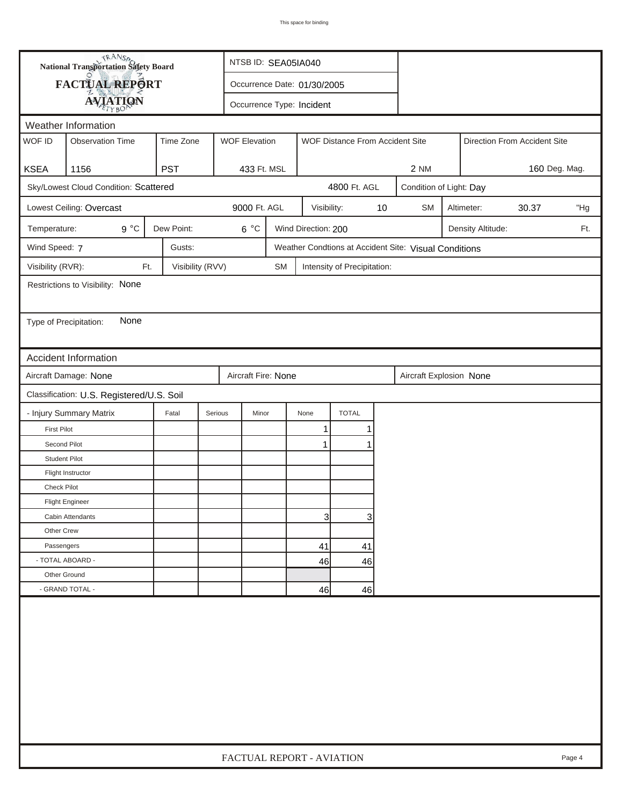| FACTUAL REPORT<br>Occurrence Date: 01/30/2005<br><b>AVIATION</b><br>Occurrence Type: Incident<br>Weather Information<br>WOF ID<br>Time Zone<br><b>Observation Time</b><br><b>WOF Elevation</b><br>WOF Distance From Accident Site<br>Direction From Accident Site<br><b>KSEA</b><br>1156<br><b>PST</b><br>433 Ft. MSL<br>160 Deg. Mag.<br>2 NM<br>Sky/Lowest Cloud Condition: Scattered<br>4800 Ft. AGL<br>Condition of Light: Day<br>Lowest Ceiling: Overcast<br>9000 Ft. AGL<br>$10$<br>Visibility:<br><b>SM</b><br>30.37<br>"Hg<br>Altimeter:<br>$9^{\circ}C$<br>Dew Point:<br>$6^{\circ}$ C<br>Wind Direction: 200<br>Temperature:<br>Density Altitude:<br>Ft.<br>Wind Speed: 7<br>Gusts:<br>Weather Condtions at Accident Site: Visual Conditions<br>Visibility (RVR):<br>Visibility (RVV)<br>Ft.<br><b>SM</b><br>Intensity of Precipitation:<br>Restrictions to Visibility: None<br>None<br>Type of Precipitation:<br>Accident Information<br>Aircraft Damage: None<br>Aircraft Fire: None<br>Aircraft Explosion None<br>Classification: U.S. Registered/U.S. Soil<br>- Injury Summary Matrix<br><b>TOTAL</b><br>Fatal<br>Serious<br>Minor<br>None<br><b>First Pilot</b><br>1<br>Second Pilot<br>1<br><b>Student Pilot</b><br>Flight Instructor<br>Check Pilot<br><b>Flight Engineer</b><br>3<br>3<br>Cabin Attendants<br>Other Crew<br>Passengers<br>41<br>41<br>- TOTAL ABOARD -<br>46<br>46 |  | <b>National Transportation Safety Board</b> |  | NTSB ID: SEA05IA040       |  |  |  |  |  |  |  |  |        |
|------------------------------------------------------------------------------------------------------------------------------------------------------------------------------------------------------------------------------------------------------------------------------------------------------------------------------------------------------------------------------------------------------------------------------------------------------------------------------------------------------------------------------------------------------------------------------------------------------------------------------------------------------------------------------------------------------------------------------------------------------------------------------------------------------------------------------------------------------------------------------------------------------------------------------------------------------------------------------------------------------------------------------------------------------------------------------------------------------------------------------------------------------------------------------------------------------------------------------------------------------------------------------------------------------------------------------------------------------------------------------------------------------|--|---------------------------------------------|--|---------------------------|--|--|--|--|--|--|--|--|--------|
|                                                                                                                                                                                                                                                                                                                                                                                                                                                                                                                                                                                                                                                                                                                                                                                                                                                                                                                                                                                                                                                                                                                                                                                                                                                                                                                                                                                                      |  |                                             |  |                           |  |  |  |  |  |  |  |  |        |
|                                                                                                                                                                                                                                                                                                                                                                                                                                                                                                                                                                                                                                                                                                                                                                                                                                                                                                                                                                                                                                                                                                                                                                                                                                                                                                                                                                                                      |  |                                             |  |                           |  |  |  |  |  |  |  |  |        |
|                                                                                                                                                                                                                                                                                                                                                                                                                                                                                                                                                                                                                                                                                                                                                                                                                                                                                                                                                                                                                                                                                                                                                                                                                                                                                                                                                                                                      |  |                                             |  |                           |  |  |  |  |  |  |  |  |        |
|                                                                                                                                                                                                                                                                                                                                                                                                                                                                                                                                                                                                                                                                                                                                                                                                                                                                                                                                                                                                                                                                                                                                                                                                                                                                                                                                                                                                      |  |                                             |  |                           |  |  |  |  |  |  |  |  |        |
|                                                                                                                                                                                                                                                                                                                                                                                                                                                                                                                                                                                                                                                                                                                                                                                                                                                                                                                                                                                                                                                                                                                                                                                                                                                                                                                                                                                                      |  |                                             |  |                           |  |  |  |  |  |  |  |  |        |
|                                                                                                                                                                                                                                                                                                                                                                                                                                                                                                                                                                                                                                                                                                                                                                                                                                                                                                                                                                                                                                                                                                                                                                                                                                                                                                                                                                                                      |  |                                             |  |                           |  |  |  |  |  |  |  |  |        |
|                                                                                                                                                                                                                                                                                                                                                                                                                                                                                                                                                                                                                                                                                                                                                                                                                                                                                                                                                                                                                                                                                                                                                                                                                                                                                                                                                                                                      |  |                                             |  |                           |  |  |  |  |  |  |  |  |        |
|                                                                                                                                                                                                                                                                                                                                                                                                                                                                                                                                                                                                                                                                                                                                                                                                                                                                                                                                                                                                                                                                                                                                                                                                                                                                                                                                                                                                      |  |                                             |  |                           |  |  |  |  |  |  |  |  |        |
|                                                                                                                                                                                                                                                                                                                                                                                                                                                                                                                                                                                                                                                                                                                                                                                                                                                                                                                                                                                                                                                                                                                                                                                                                                                                                                                                                                                                      |  |                                             |  |                           |  |  |  |  |  |  |  |  |        |
|                                                                                                                                                                                                                                                                                                                                                                                                                                                                                                                                                                                                                                                                                                                                                                                                                                                                                                                                                                                                                                                                                                                                                                                                                                                                                                                                                                                                      |  |                                             |  |                           |  |  |  |  |  |  |  |  |        |
|                                                                                                                                                                                                                                                                                                                                                                                                                                                                                                                                                                                                                                                                                                                                                                                                                                                                                                                                                                                                                                                                                                                                                                                                                                                                                                                                                                                                      |  |                                             |  |                           |  |  |  |  |  |  |  |  |        |
|                                                                                                                                                                                                                                                                                                                                                                                                                                                                                                                                                                                                                                                                                                                                                                                                                                                                                                                                                                                                                                                                                                                                                                                                                                                                                                                                                                                                      |  |                                             |  |                           |  |  |  |  |  |  |  |  |        |
|                                                                                                                                                                                                                                                                                                                                                                                                                                                                                                                                                                                                                                                                                                                                                                                                                                                                                                                                                                                                                                                                                                                                                                                                                                                                                                                                                                                                      |  |                                             |  |                           |  |  |  |  |  |  |  |  |        |
|                                                                                                                                                                                                                                                                                                                                                                                                                                                                                                                                                                                                                                                                                                                                                                                                                                                                                                                                                                                                                                                                                                                                                                                                                                                                                                                                                                                                      |  |                                             |  |                           |  |  |  |  |  |  |  |  |        |
|                                                                                                                                                                                                                                                                                                                                                                                                                                                                                                                                                                                                                                                                                                                                                                                                                                                                                                                                                                                                                                                                                                                                                                                                                                                                                                                                                                                                      |  |                                             |  |                           |  |  |  |  |  |  |  |  |        |
|                                                                                                                                                                                                                                                                                                                                                                                                                                                                                                                                                                                                                                                                                                                                                                                                                                                                                                                                                                                                                                                                                                                                                                                                                                                                                                                                                                                                      |  |                                             |  |                           |  |  |  |  |  |  |  |  |        |
|                                                                                                                                                                                                                                                                                                                                                                                                                                                                                                                                                                                                                                                                                                                                                                                                                                                                                                                                                                                                                                                                                                                                                                                                                                                                                                                                                                                                      |  |                                             |  |                           |  |  |  |  |  |  |  |  |        |
|                                                                                                                                                                                                                                                                                                                                                                                                                                                                                                                                                                                                                                                                                                                                                                                                                                                                                                                                                                                                                                                                                                                                                                                                                                                                                                                                                                                                      |  |                                             |  |                           |  |  |  |  |  |  |  |  |        |
|                                                                                                                                                                                                                                                                                                                                                                                                                                                                                                                                                                                                                                                                                                                                                                                                                                                                                                                                                                                                                                                                                                                                                                                                                                                                                                                                                                                                      |  |                                             |  |                           |  |  |  |  |  |  |  |  |        |
|                                                                                                                                                                                                                                                                                                                                                                                                                                                                                                                                                                                                                                                                                                                                                                                                                                                                                                                                                                                                                                                                                                                                                                                                                                                                                                                                                                                                      |  |                                             |  |                           |  |  |  |  |  |  |  |  |        |
|                                                                                                                                                                                                                                                                                                                                                                                                                                                                                                                                                                                                                                                                                                                                                                                                                                                                                                                                                                                                                                                                                                                                                                                                                                                                                                                                                                                                      |  |                                             |  |                           |  |  |  |  |  |  |  |  |        |
|                                                                                                                                                                                                                                                                                                                                                                                                                                                                                                                                                                                                                                                                                                                                                                                                                                                                                                                                                                                                                                                                                                                                                                                                                                                                                                                                                                                                      |  |                                             |  |                           |  |  |  |  |  |  |  |  |        |
|                                                                                                                                                                                                                                                                                                                                                                                                                                                                                                                                                                                                                                                                                                                                                                                                                                                                                                                                                                                                                                                                                                                                                                                                                                                                                                                                                                                                      |  |                                             |  |                           |  |  |  |  |  |  |  |  |        |
|                                                                                                                                                                                                                                                                                                                                                                                                                                                                                                                                                                                                                                                                                                                                                                                                                                                                                                                                                                                                                                                                                                                                                                                                                                                                                                                                                                                                      |  |                                             |  |                           |  |  |  |  |  |  |  |  |        |
|                                                                                                                                                                                                                                                                                                                                                                                                                                                                                                                                                                                                                                                                                                                                                                                                                                                                                                                                                                                                                                                                                                                                                                                                                                                                                                                                                                                                      |  |                                             |  |                           |  |  |  |  |  |  |  |  |        |
|                                                                                                                                                                                                                                                                                                                                                                                                                                                                                                                                                                                                                                                                                                                                                                                                                                                                                                                                                                                                                                                                                                                                                                                                                                                                                                                                                                                                      |  |                                             |  |                           |  |  |  |  |  |  |  |  |        |
|                                                                                                                                                                                                                                                                                                                                                                                                                                                                                                                                                                                                                                                                                                                                                                                                                                                                                                                                                                                                                                                                                                                                                                                                                                                                                                                                                                                                      |  |                                             |  |                           |  |  |  |  |  |  |  |  |        |
|                                                                                                                                                                                                                                                                                                                                                                                                                                                                                                                                                                                                                                                                                                                                                                                                                                                                                                                                                                                                                                                                                                                                                                                                                                                                                                                                                                                                      |  |                                             |  |                           |  |  |  |  |  |  |  |  |        |
|                                                                                                                                                                                                                                                                                                                                                                                                                                                                                                                                                                                                                                                                                                                                                                                                                                                                                                                                                                                                                                                                                                                                                                                                                                                                                                                                                                                                      |  |                                             |  |                           |  |  |  |  |  |  |  |  |        |
| Other Ground                                                                                                                                                                                                                                                                                                                                                                                                                                                                                                                                                                                                                                                                                                                                                                                                                                                                                                                                                                                                                                                                                                                                                                                                                                                                                                                                                                                         |  |                                             |  |                           |  |  |  |  |  |  |  |  |        |
| - GRAND TOTAL -<br>46<br>46                                                                                                                                                                                                                                                                                                                                                                                                                                                                                                                                                                                                                                                                                                                                                                                                                                                                                                                                                                                                                                                                                                                                                                                                                                                                                                                                                                          |  |                                             |  |                           |  |  |  |  |  |  |  |  |        |
|                                                                                                                                                                                                                                                                                                                                                                                                                                                                                                                                                                                                                                                                                                                                                                                                                                                                                                                                                                                                                                                                                                                                                                                                                                                                                                                                                                                                      |  |                                             |  | FACTUAL REPORT - AVIATION |  |  |  |  |  |  |  |  | Page 4 |